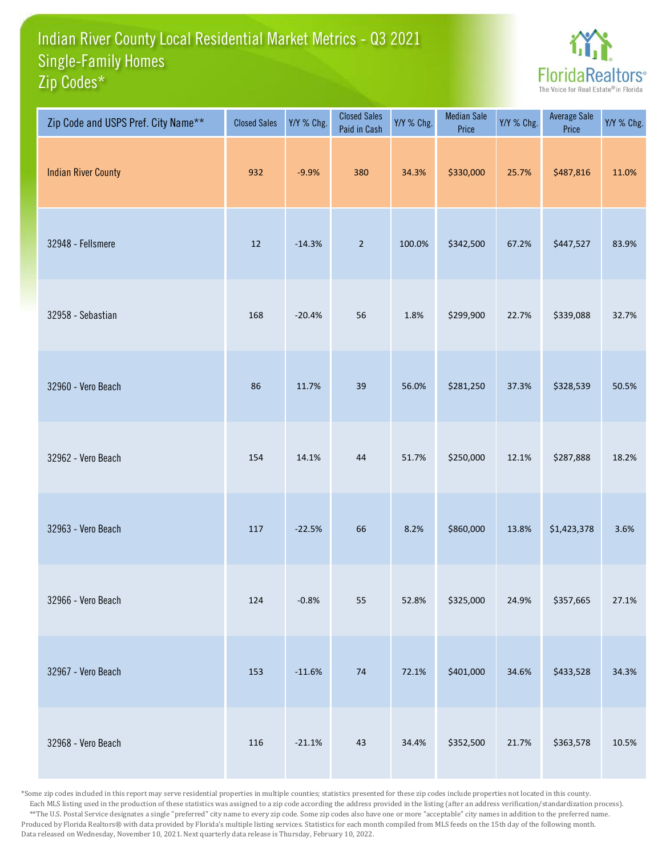## Indian River County Local Residential Market Metrics - Q3 2021 Zip Codes\* Single-Family Homes



| Zip Code and USPS Pref. City Name** | <b>Closed Sales</b> | Y/Y % Chg. | <b>Closed Sales</b><br>Paid in Cash | Y/Y % Chg. | <b>Median Sale</b><br>Price | Y/Y % Chg. | Average Sale<br>Price | Y/Y % Chg. |
|-------------------------------------|---------------------|------------|-------------------------------------|------------|-----------------------------|------------|-----------------------|------------|
| <b>Indian River County</b>          | 932                 | $-9.9%$    | 380                                 | 34.3%      | \$330,000                   | 25.7%      | \$487,816             | 11.0%      |
| 32948 - Fellsmere                   | 12                  | $-14.3%$   | $\overline{2}$                      | 100.0%     | \$342,500                   | 67.2%      | \$447,527             | 83.9%      |
| 32958 - Sebastian                   | 168                 | $-20.4%$   | 56                                  | 1.8%       | \$299,900                   | 22.7%      | \$339,088             | 32.7%      |
| 32960 - Vero Beach                  | 86                  | 11.7%      | 39                                  | 56.0%      | \$281,250                   | 37.3%      | \$328,539             | 50.5%      |
| 32962 - Vero Beach                  | 154                 | 14.1%      | 44                                  | 51.7%      | \$250,000                   | 12.1%      | \$287,888             | 18.2%      |
| 32963 - Vero Beach                  | 117                 | $-22.5%$   | 66                                  | 8.2%       | \$860,000                   | 13.8%      | \$1,423,378           | 3.6%       |
| 32966 - Vero Beach                  | 124                 | $-0.8%$    | 55                                  | 52.8%      | \$325,000                   | 24.9%      | \$357,665             | 27.1%      |
| 32967 - Vero Beach                  | 153                 | $-11.6%$   | $74\,$                              | 72.1%      | \$401,000                   | 34.6%      | \$433,528             | 34.3%      |
| 32968 - Vero Beach                  | 116                 | $-21.1%$   | 43                                  | 34.4%      | \$352,500                   | 21.7%      | \$363,578             | 10.5%      |

\*Some zip codes included in this report may serve residential properties in multiple counties; statistics presented for these zip codes include properties not located in this county. Each MLS listing used in the production of these statistics was assigned to a zip code according the address provided in the listing (after an address verification/standardization process). \*\*The U.S. Postal Service designates a single "preferred" city name to every zip code. Some zip codes also have one or more "acceptable" city names in addition to the preferred name. Produced by Florida Realtors® with data provided by Florida's multiple listing services. Statistics for each month compiled from MLS feeds on the 15th day of the following month. Data released on Wednesday, November 10, 2021. Next quarterly data release is Thursday, February 10, 2022.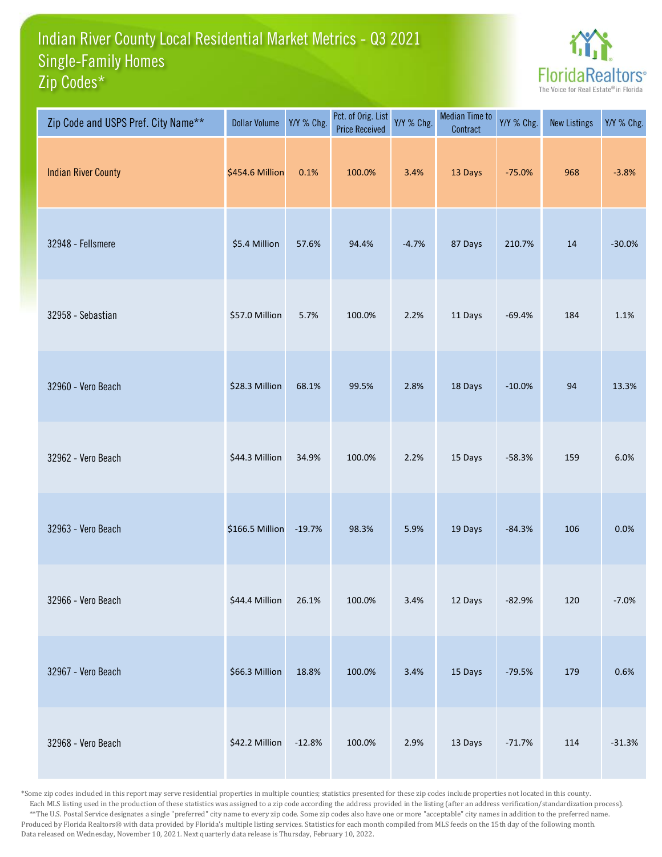## Indian River County Local Residential Market Metrics - Q3 2021 Zip Codes\* Single-Family Homes



| Zip Code and USPS Pref. City Name** | <b>Dollar Volume</b> | Y/Y % Chg. | Pct. of Orig. List<br><b>Price Received</b> | Y/Y % Chg. | <b>Median Time to</b><br>Contract | Y/Y % Chg. | <b>New Listings</b> | Y/Y % Chg. |
|-------------------------------------|----------------------|------------|---------------------------------------------|------------|-----------------------------------|------------|---------------------|------------|
| <b>Indian River County</b>          | \$454.6 Million      | 0.1%       | 100.0%                                      | 3.4%       | 13 Days                           | $-75.0%$   | 968                 | $-3.8%$    |
| 32948 - Fellsmere                   | \$5.4 Million        | 57.6%      | 94.4%                                       | $-4.7%$    | 87 Days                           | 210.7%     | 14                  | $-30.0%$   |
| 32958 - Sebastian                   | \$57.0 Million       | 5.7%       | 100.0%                                      | 2.2%       | 11 Days                           | $-69.4%$   | 184                 | 1.1%       |
| 32960 - Vero Beach                  | \$28.3 Million       | 68.1%      | 99.5%                                       | 2.8%       | 18 Days                           | $-10.0%$   | 94                  | 13.3%      |
| 32962 - Vero Beach                  | \$44.3 Million       | 34.9%      | 100.0%                                      | 2.2%       | 15 Days                           | $-58.3%$   | 159                 | 6.0%       |
| 32963 - Vero Beach                  | \$166.5 Million      | $-19.7%$   | 98.3%                                       | 5.9%       | 19 Days                           | $-84.3%$   | 106                 | 0.0%       |
| 32966 - Vero Beach                  | \$44.4 Million       | 26.1%      | 100.0%                                      | 3.4%       | 12 Days                           | $-82.9%$   | 120                 | $-7.0%$    |
| 32967 - Vero Beach                  | \$66.3 Million       | 18.8%      | 100.0%                                      | 3.4%       | 15 Days                           | $-79.5%$   | 179                 | 0.6%       |
| 32968 - Vero Beach                  | \$42.2 Million       | $-12.8%$   | 100.0%                                      | 2.9%       | 13 Days                           | $-71.7%$   | 114                 | $-31.3%$   |

\*Some zip codes included in this report may serve residential properties in multiple counties; statistics presented for these zip codes include properties not located in this county. Each MLS listing used in the production of these statistics was assigned to a zip code according the address provided in the listing (after an address verification/standardization process). \*\*The U.S. Postal Service designates a single "preferred" city name to every zip code. Some zip codes also have one or more "acceptable" city names in addition to the preferred name. Produced by Florida Realtors® with data provided by Florida's multiple listing services. Statistics for each month compiled from MLS feeds on the 15th day of the following month. Data released on Wednesday, November 10, 2021. Next quarterly data release is Thursday, February 10, 2022.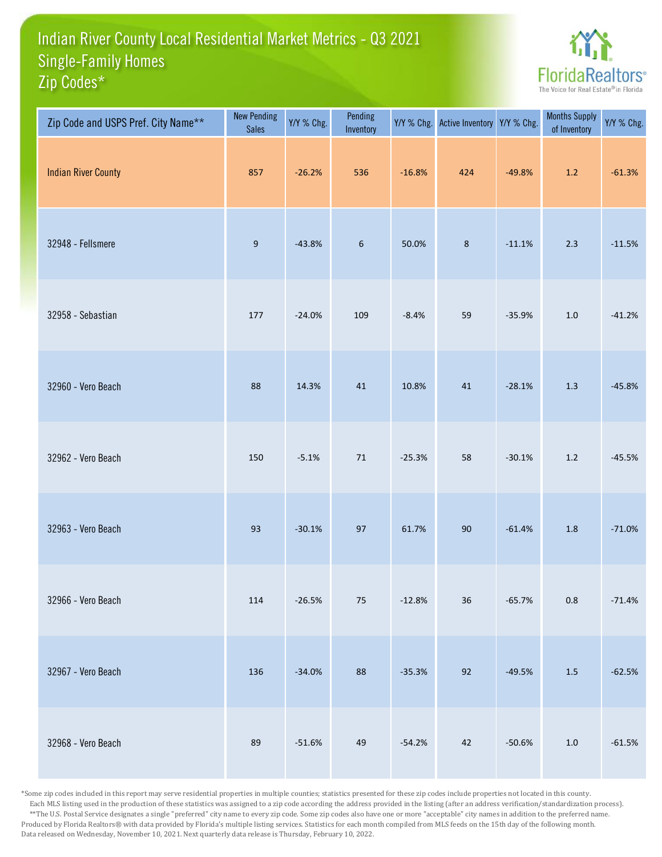## Indian River County Local Residential Market Metrics - Q3 2021 Zip Codes\* Single-Family Homes



| Zip Code and USPS Pref. City Name** | <b>New Pending</b><br><b>Sales</b> | Y/Y % Chg. | Pending<br>Inventory | Y/Y % Chg. | <b>Active Inventory</b> | Y/Y % Chg. | <b>Months Supply</b><br>of Inventory | Y/Y % Chg. |
|-------------------------------------|------------------------------------|------------|----------------------|------------|-------------------------|------------|--------------------------------------|------------|
| <b>Indian River County</b>          | 857                                | $-26.2%$   | 536                  | $-16.8%$   | 424                     | $-49.8%$   | $1.2\,$                              | $-61.3%$   |
| 32948 - Fellsmere                   | $9\,$                              | $-43.8%$   | $\boldsymbol{6}$     | 50.0%      | $\bf 8$                 | $-11.1%$   | 2.3                                  | $-11.5%$   |
| 32958 - Sebastian                   | 177                                | $-24.0%$   | 109                  | $-8.4%$    | 59                      | $-35.9%$   | $1.0\,$                              | $-41.2%$   |
| 32960 - Vero Beach                  | 88                                 | 14.3%      | $41\,$               | 10.8%      | $41\,$                  | $-28.1%$   | 1.3                                  | $-45.8%$   |
| 32962 - Vero Beach                  | 150                                | $-5.1%$    | $71\,$               | $-25.3%$   | 58                      | $-30.1%$   | $1.2\,$                              | $-45.5%$   |
| 32963 - Vero Beach                  | 93                                 | $-30.1%$   | 97                   | 61.7%      | 90                      | $-61.4%$   | 1.8                                  | $-71.0%$   |
| 32966 - Vero Beach                  | 114                                | $-26.5%$   | $75\,$               | $-12.8%$   | 36                      | $-65.7%$   | $0.8\,$                              | $-71.4%$   |
| 32967 - Vero Beach                  | 136                                | $-34.0%$   | 88                   | $-35.3%$   | 92                      | $-49.5%$   | $1.5\,$                              | $-62.5%$   |
| 32968 - Vero Beach                  | 89                                 | $-51.6%$   | 49                   | $-54.2%$   | 42                      | $-50.6%$   | $1.0\,$                              | $-61.5%$   |

\*Some zip codes included in this report may serve residential properties in multiple counties; statistics presented for these zip codes include properties not located in this county. Each MLS listing used in the production of these statistics was assigned to a zip code according the address provided in the listing (after an address verification/standardization process). \*\*The U.S. Postal Service designates a single "preferred" city name to every zip code. Some zip codes also have one or more "acceptable" city names in addition to the preferred name. Produced by Florida Realtors® with data provided by Florida's multiple listing services. Statistics for each month compiled from MLS feeds on the 15th day of the following month. Data released on Wednesday, November 10, 2021. Next quarterly data release is Thursday, February 10, 2022.